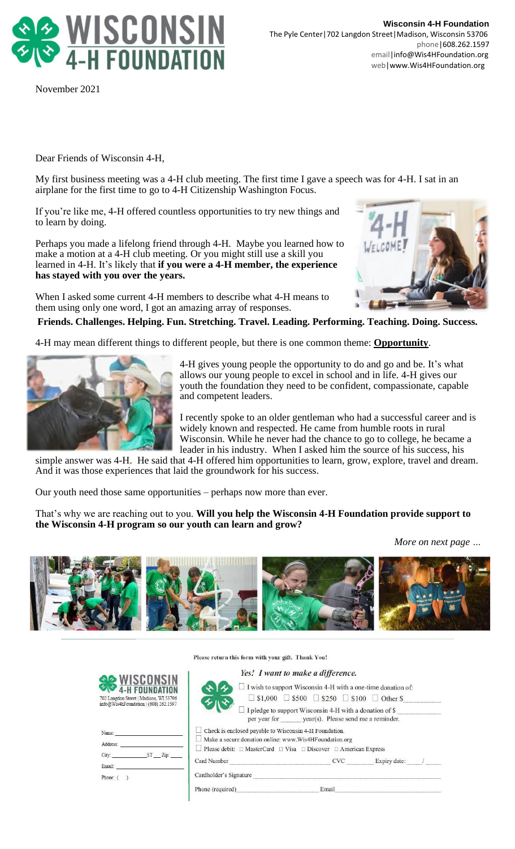

November 2021

Dear Friends of Wisconsin 4-H,

My first business meeting was a 4-H club meeting. The first time I gave a speech was for 4-H. I sat in an airplane for the first time to go to 4-H Citizenship Washington Focus.

If you're like me, 4-H offered countless opportunities to try new things and to learn by doing.

Perhaps you made a lifelong friend through 4-H. Maybe you learned how to make a motion at a 4-H club meeting. Or you might still use a skill you learned in 4-H. It's likely that **if you were a 4-H member, the experience has stayed with you over the years.**

When I asked some current 4-H members to describe what 4-H means to them using only one word, I got an amazing array of responses.



**Friends. Challenges. Helping. Fun. Stretching. Travel. Leading. Performing. Teaching. Doing. Success.**

4-H may mean different things to different people, but there is one common theme: **Opportunity**.



4-H gives young people the opportunity to do and go and be. It's what allows our young people to excel in school and in life. 4-H gives our youth the foundation they need to be confident, compassionate, capable and competent leaders.

I recently spoke to an older gentleman who had a successful career and is widely known and respected. He came from humble roots in rural Wisconsin. While he never had the chance to go to college, he became a leader in his industry. When I asked him the source of his success, his

simple answer was 4-H. He said that 4-H offered him opportunities to learn, grow, explore, travel and dream. And it was those experiences that laid the groundwork for his success.

Our youth need those same opportunities – perhaps now more than ever.

That's why we are reaching out to you. **Will you help the Wisconsin 4-H Foundation provide support to the Wisconsin 4-H program so our youth can learn and grow?**

*More on next page …*



Please return this form with your gift. Thank You!

| <b>SO WISCONSIN</b><br>4-H FOUNDATION                                                     |  |
|-------------------------------------------------------------------------------------------|--|
| 702 Langdon Street   Madison, WI 53706<br>$inf_{0}$ Wis4h Equidation $1/608$ ) $262.1507$ |  |

| Address: |         |
|----------|---------|
| City:    | ST Zip: |
| Email:   |         |

| Yes! I want to make a difference.<br>$\Box$ I wish to support Wisconsin 4-H with a one-time donation of:                 |                                                                       |  |
|--------------------------------------------------------------------------------------------------------------------------|-----------------------------------------------------------------------|--|
|                                                                                                                          | $\Box$ \$1,000 $\Box$ \$500 $\Box$ \$250 $\Box$ \$100 $\Box$ Other \$ |  |
| $\Box$ I pledge to support Wisconsin 4-H with a donation of \$                                                           | per year for year(s). Please send me a reminder.                      |  |
| Check is enclosed payable to Wisconsin 4-H Foundation.<br>$\Box$ Make a secure donation online: www.Wis4HF oundation.org |                                                                       |  |
| Please debit: $\Box$ MasterCard $\Box$ Visa $\Box$ Discover $\Box$ American Express                                      |                                                                       |  |
| CVC Expiry date: /                                                                                                       |                                                                       |  |
| Cardholder's Signature                                                                                                   |                                                                       |  |
| Phone (required) Email Email                                                                                             |                                                                       |  |